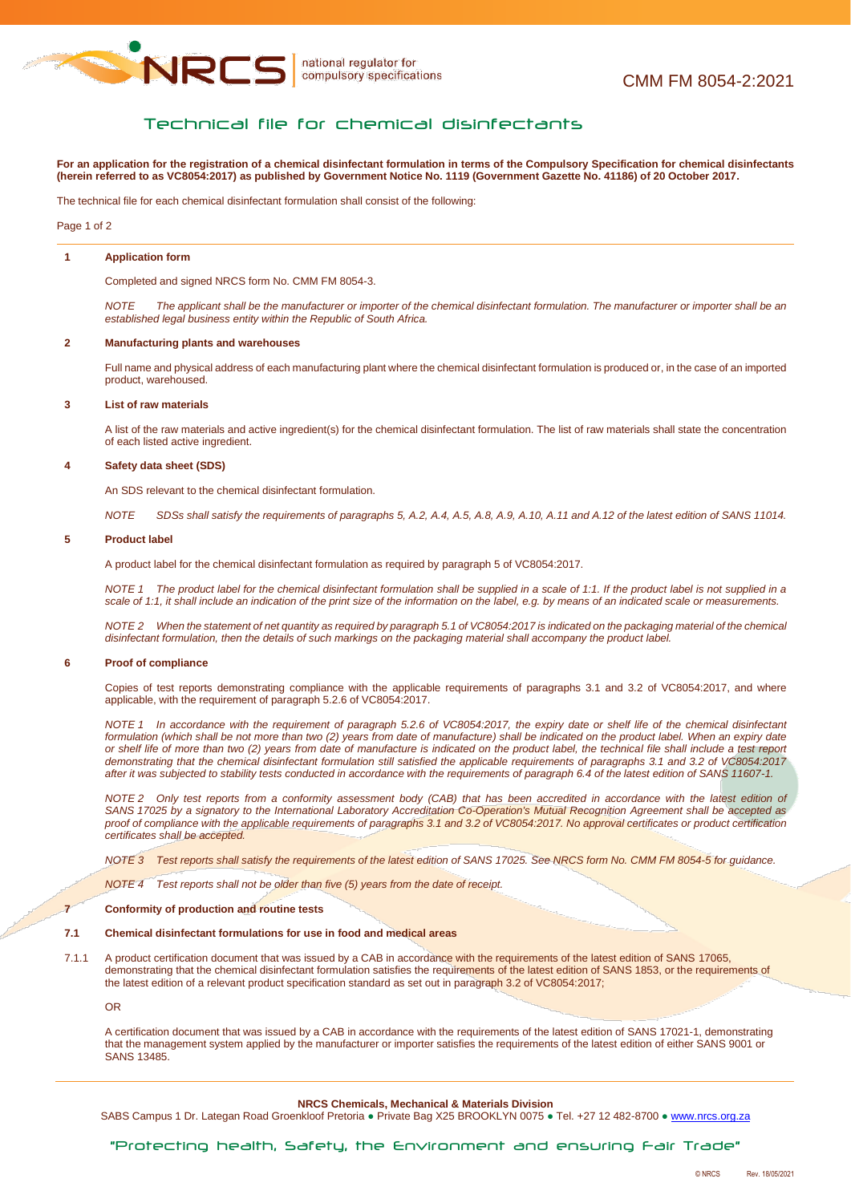

# Technical file for chemical disinfectants

**For an application for the registration of a chemical disinfectant formulation in terms of the Compulsory Specification for chemical disinfectants (herein referred to as VC8054:2017) as published by Government Notice No. 1119 (Government Gazette No. 41186) of 20 October 2017.**

The technical file for each chemical disinfectant formulation shall consist of the following:

Page 1 of 2

## **1 Application form**

Completed and signed NRCS form No. CMM FM 8054-3.

*NOTE The applicant shall be the manufacturer or importer of the chemical disinfectant formulation. The manufacturer or importer shall be an established legal business entity within the Republic of South Africa.*

#### **2 Manufacturing plants and warehouses**

Full name and physical address of each manufacturing plant where the chemical disinfectant formulation is produced or, in the case of an imported product, warehoused.

### **3 List of raw materials**

A list of the raw materials and active ingredient(s) for the chemical disinfectant formulation. The list of raw materials shall state the concentration of each listed active ingredient.

### **4 Safety data sheet (SDS)**

An SDS relevant to the chemical disinfectant formulation.

*NOTE SDSs shall satisfy the requirements of paragraphs 5, A.2, A.4, A.5, A.8, A.9, A.10, A.11 and A.12 of the latest edition of SANS 11014.*

### **5 Product label**

A product label for the chemical disinfectant formulation as required by paragraph 5 of VC8054:2017.

*NOTE 1 The product label for the chemical disinfectant formulation shall be supplied in a scale of 1:1. If the product label is not supplied in a scale of 1:1, it shall include an indication of the print size of the information on the label, e.g. by means of an indicated scale or measurements.*

*NOTE 2 When the statement of net quantity as required by paragraph 5.1 of VC8054:2017 is indicated on the packaging material of the chemical disinfectant formulation, then the details of such markings on the packaging material shall accompany the product label.*

## **6 Proof of compliance**

Copies of test reports demonstrating compliance with the applicable requirements of paragraphs 3.1 and 3.2 of VC8054:2017, and where applicable, with the requirement of paragraph 5.2.6 of VC8054:2017.

*NOTE 1 In accordance with the requirement of paragraph 5.2.6 of VC8054:2017, the expiry date or shelf life of the chemical disinfectant formulation (which shall be not more than two (2) years from date of manufacture) shall be indicated on the product label. When an expiry date or shelf life of more than two (2) years from date of manufacture is indicated on the product label, the technical file shall include a test report demonstrating that the chemical disinfectant formulation still satisfied the applicable requirements of paragraphs 3.1 and 3.2 of VC8054:2017 after it was subjected to stability tests conducted in accordance with the requirements of paragraph 6.4 of the latest edition of SANS 11607-1.*

*NOTE 2 Only test reports from a conformity assessment body (CAB) that has been accredited in accordance with the latest edition of SANS 17025 by a signatory to the International Laboratory Accreditation Co-Operation's Mutual Recognition Agreement shall be accepted as proof of compliance with the applicable requirements of paragraphs 3.1 and 3.2 of VC8054:2017. No approval certificates or product certification certificates shall be accepted.*

*NOTE 3 Test reports shall satisfy the requirements of the latest edition of SANS 17025. See NRCS form No. CMM FM 8054-5 for guidance.*

*NOTE 4 Test reports shall not be older than five (5) years from the date of receipt.*

#### **7 Conformity of production and routine tests**

## **7.1 Chemical disinfectant formulations for use in food and medical areas**

7.1.1 A product certification document that was issued by a CAB in accordance with the requirements of the latest edition of SANS 17065, demonstrating that the chemical disinfectant formulation satisfies the requirements of the latest edition of SANS 1853, or the requirements of the latest edition of a relevant product specification standard as set out in paragraph 3.2 of VC8054:2017;

OR

A certification document that was issued by a CAB in accordance with the requirements of the latest edition of SANS 17021-1, demonstrating that the management system applied by the manufacturer or importer satisfies the requirements of the latest edition of either SANS 9001 or SANS 13485.

### **NRCS Chemicals, Mechanical & Materials Division**

SABS Campus 1 Dr. Lategan Road Groenkloof Pretoria · Private Bag X25 BROOKLYN 0075 · Tel. +27 12 482-8700 · [www.nrcs.org.za](http://www.nrcs.org.za/)

# "Protecting health, Safety, the Environment and ensuring Fair Trade"